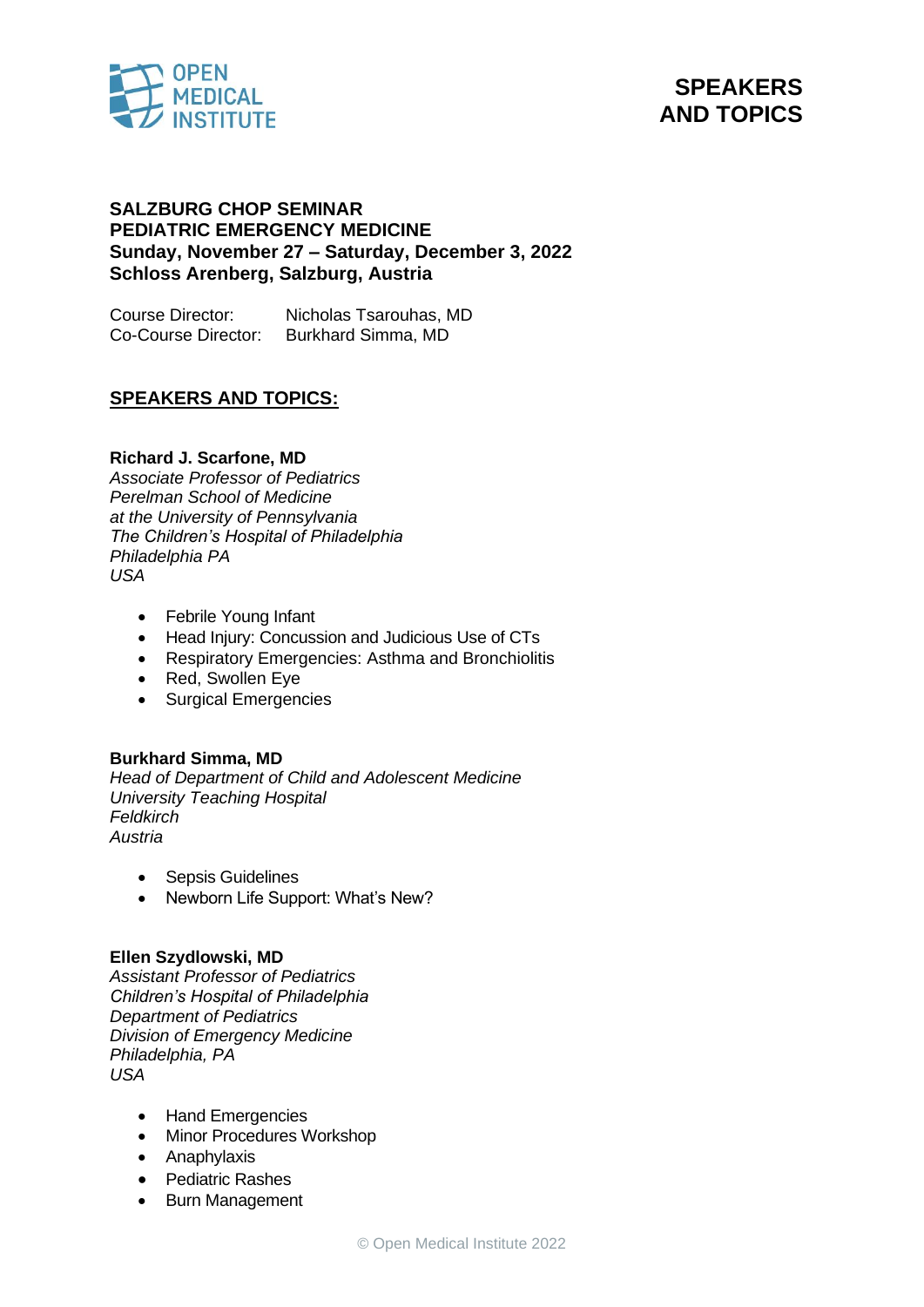

# **SPEAKERS AND TOPICS**

### **SALZBURG CHOP SEMINAR PEDIATRIC EMERGENCY MEDICINE Sunday, November 27 – Saturday, December 3, 2022 Schloss Arenberg, Salzburg, Austria**

Course Director: Nicholas Tsarouhas, MD Co-Course Director: Burkhard Simma, MD

## **SPEAKERS AND TOPICS:**

#### **Richard J. Scarfone, MD**

*Associate Professor of Pediatrics Perelman School of Medicine at the University of Pennsylvania The Children's Hospital of Philadelphia Philadelphia PA USA*

- Febrile Young Infant
- Head Injury: Concussion and Judicious Use of CTs
- Respiratory Emergencies: Asthma and Bronchiolitis
- Red, Swollen Eye
- Surgical Emergencies

#### **Burkhard Simma, MD**

*Head of Department of Child and Adolescent Medicine University Teaching Hospital Feldkirch Austria*

- Sepsis Guidelines
- Newborn Life Support: What's New?

#### **Ellen Szydlowski, MD**

*Assistant Professor of Pediatrics Children's Hospital of Philadelphia Department of Pediatrics Division of Emergency Medicine Philadelphia, PA USA*

- Hand Emergencies
- Minor Procedures Workshop
- Anaphylaxis
- Pediatric Rashes
- Burn Management